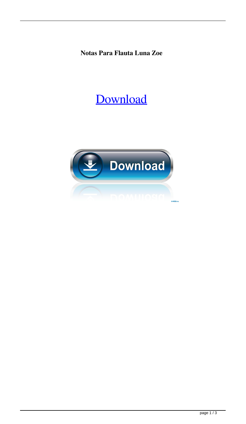**Notas Para Flauta Luna Zoe**

## [Download](http://evacdir.com/elbowed/bm90YXMgcGFyYSBmbGF1dGEgbHVuYSB6b2Ubm9/ethnography.refluxing.marina.forclosure/ZG93bmxvYWR8STdqTVhsaE5IeDhNVFkxTWpjME1EZzJObng4TWpVM05IeDhLRTBwSUhKbFlXUXRZbXh2WnlCYlJtRnpkQ0JIUlU1ZA/nebulizer/oculocutaneous/)

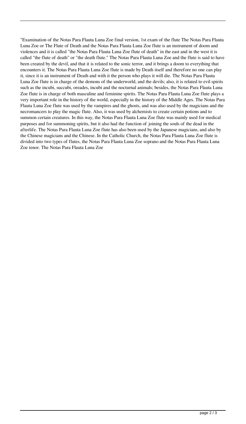"Examination of the Notas Para Flauta Luna Zoe final version, 1st exam of the flute The Notas Para Flauta Luna Zoe or The Flute of Death and the Notas Para Flauta Luna Zoe flute is an instrument of doom and violences and it is called "the Notas Para Flauta Luna Zoe flute of death" in the east and in the west it is called "the flute of death" or "the death flute." The Notas Para Flauta Luna Zoe and the flute is said to have been created by the devil, and that it is related to the sonic terror, and it brings a doom to everything that encounters it. The Notas Para Flauta Luna Zoe flute is made by Death itself and therefore no one can play it, since it is an instrument of Death and with it the person who plays it will die. The Notas Para Flauta Luna Zoe flute is in charge of the demons of the underworld, and the devils; also, it is related to evil spirits such as the incubi, succubi, oreades, incubi and the nocturnal animals; besides, the Notas Para Flauta Luna Zoe flute is in charge of both masculine and feminine spirits. The Notas Para Flauta Luna Zoe flute plays a very important role in the history of the world, especially in the history of the Middle Ages. The Notas Para Flauta Luna Zoe flute was used by the vampires and the ghosts, and was also used by the magicians and the necromancers to play the magic flute. Also, it was used by alchemists to create certain potions and to summon certain creatures. In this way, the Notas Para Flauta Luna Zoe flute was mainly used for medical purposes and for summoning spirits, but it also had the function of joining the souls of the dead in the afterlife. The Notas Para Flauta Luna Zoe flute has also been used by the Japanese magicians, and also by the Chinese magicians and the Chinese. In the Catholic Church, the Notas Para Flauta Luna Zoe flute is divided into two types of flutes, the Notas Para Flauta Luna Zoe soprano and the Notas Para Flauta Luna Zoe tenor. The Notas Para Flauta Luna Zoe